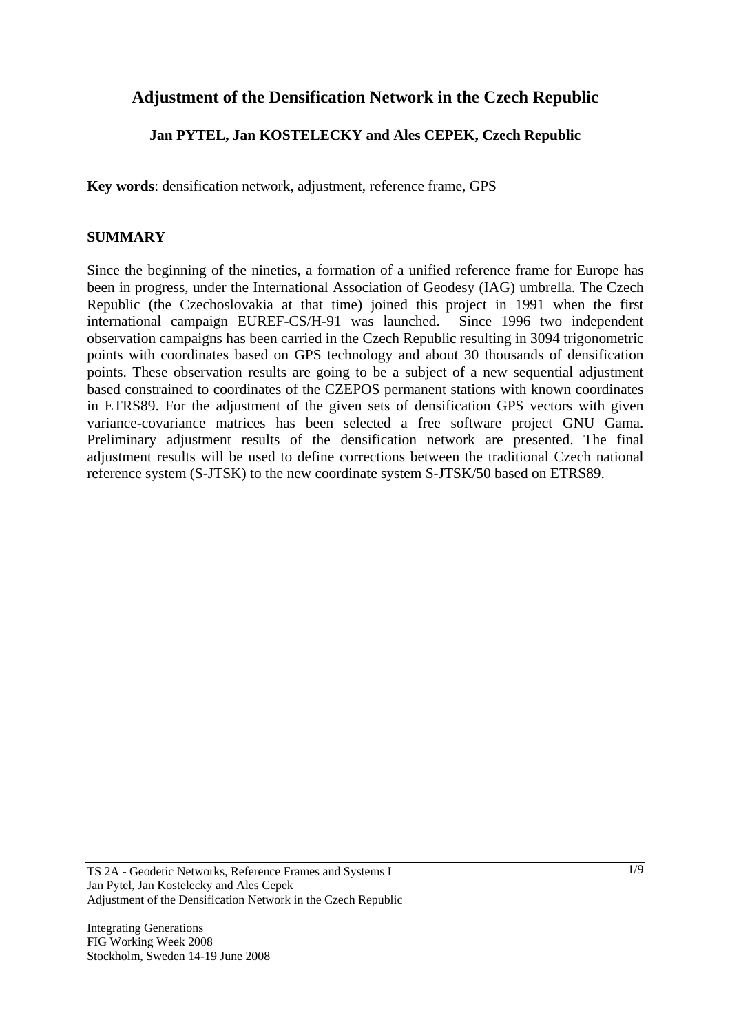# **Adjustment of the Densification Network in the Czech Republic**

# **Jan PYTEL, Jan KOSTELECKY and Ales CEPEK, Czech Republic**

**Key words**: densification network, adjustment, reference frame, GPS

#### **SUMMARY**

Since the beginning of the nineties, a formation of a unified reference frame for Europe has been in progress, under the International Association of Geodesy (IAG) umbrella. The Czech Republic (the Czechoslovakia at that time) joined this project in 1991 when the first international campaign EUREF-CS/H-91 was launched. Since 1996 two independent observation campaigns has been carried in the Czech Republic resulting in 3094 trigonometric points with coordinates based on GPS technology and about 30 thousands of densification points. These observation results are going to be a subject of a new sequential adjustment based constrained to coordinates of the CZEPOS permanent stations with known coordinates in ETRS89. For the adjustment of the given sets of densification GPS vectors with given variance-covariance matrices has been selected a free software project GNU Gama. Preliminary adjustment results of the densification network are presented. The final adjustment results will be used to define corrections between the traditional Czech national reference system (S-JTSK) to the new coordinate system S-JTSK/50 based on ETRS89.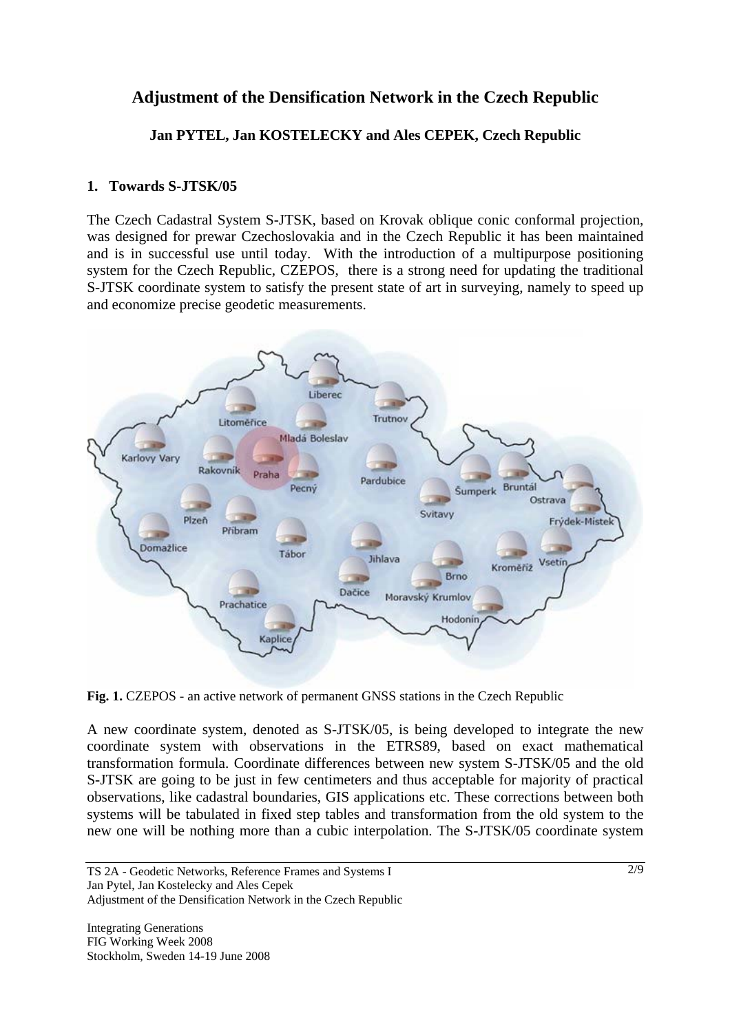# **Adjustment of the Densification Network in the Czech Republic**

**Jan PYTEL, Jan KOSTELECKY and Ales CEPEK, Czech Republic** 

## **1. Towards S-JTSK/05**

The Czech Cadastral System S-JTSK, based on Krovak oblique conic conformal projection, was designed for prewar Czechoslovakia and in the Czech Republic it has been maintained and is in successful use until today. With the introduction of a multipurpose positioning system for the Czech Republic, CZEPOS, there is a strong need for updating the traditional S-JTSK coordinate system to satisfy the present state of art in surveying, namely to speed up and economize precise geodetic measurements.



Fig. 1. CZEPOS - an active network of permanent GNSS stations in the Czech Republic

A new coordinate system, denoted as S-JTSK/05, is being developed to integrate the new coordinate system with observations in the ETRS89, based on exact mathematical transformation formula. Coordinate differences between new system S-JTSK/05 and the old S-JTSK are going to be just in few centimeters and thus acceptable for majority of practical observations, like cadastral boundaries, GIS applications etc. These corrections between both systems will be tabulated in fixed step tables and transformation from the old system to the new one will be nothing more than a cubic interpolation. The S-JTSK/05 coordinate system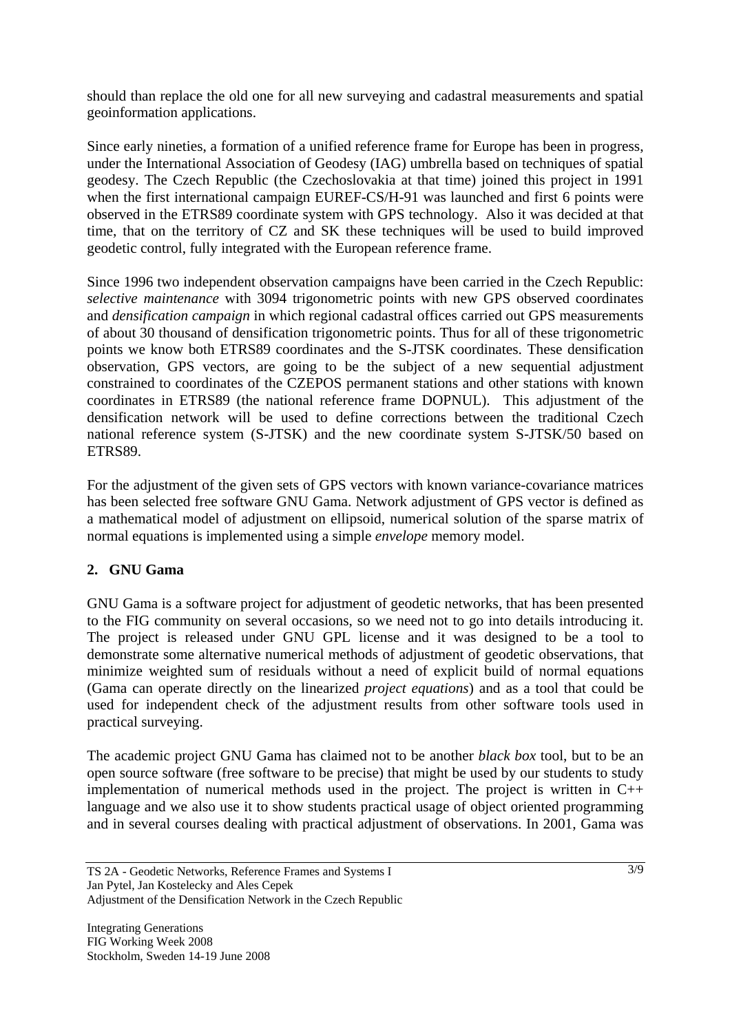should than replace the old one for all new surveying and cadastral measurements and spatial geoinformation applications.

Since early nineties, a formation of a unified reference frame for Europe has been in progress, under the International Association of Geodesy (IAG) umbrella based on techniques of spatial geodesy. The Czech Republic (the Czechoslovakia at that time) joined this project in 1991 when the first international campaign EUREF-CS/H-91 was launched and first 6 points were observed in the ETRS89 coordinate system with GPS technology. Also it was decided at that time, that on the territory of CZ and SK these techniques will be used to build improved geodetic control, fully integrated with the European reference frame.

Since 1996 two independent observation campaigns have been carried in the Czech Republic: *selective maintenance* with 3094 trigonometric points with new GPS observed coordinates and *densification campaign* in which regional cadastral offices carried out GPS measurements of about 30 thousand of densification trigonometric points. Thus for all of these trigonometric points we know both ETRS89 coordinates and the S-JTSK coordinates. These densification observation, GPS vectors, are going to be the subject of a new sequential adjustment constrained to coordinates of the CZEPOS permanent stations and other stations with known coordinates in ETRS89 (the national reference frame DOPNUL). This adjustment of the densification network will be used to define corrections between the traditional Czech national reference system (S-JTSK) and the new coordinate system S-JTSK/50 based on ETRS89.

For the adjustment of the given sets of GPS vectors with known variance-covariance matrices has been selected free software GNU Gama. Network adjustment of GPS vector is defined as a mathematical model of adjustment on ellipsoid, numerical solution of the sparse matrix of normal equations is implemented using a simple *envelope* memory model.

# **2. GNU Gama**

GNU Gama is a software project for adjustment of geodetic networks, that has been presented to the FIG community on several occasions, so we need not to go into details introducing it. The project is released under GNU GPL license and it was designed to be a tool to demonstrate some alternative numerical methods of adjustment of geodetic observations, that minimize weighted sum of residuals without a need of explicit build of normal equations (Gama can operate directly on the linearized *project equations*) and as a tool that could be used for independent check of the adjustment results from other software tools used in practical surveying.

The academic project GNU Gama has claimed not to be another *black box* tool, but to be an open source software (free software to be precise) that might be used by our students to study implementation of numerical methods used in the project. The project is written in C++ language and we also use it to show students practical usage of object oriented programming and in several courses dealing with practical adjustment of observations. In 2001, Gama was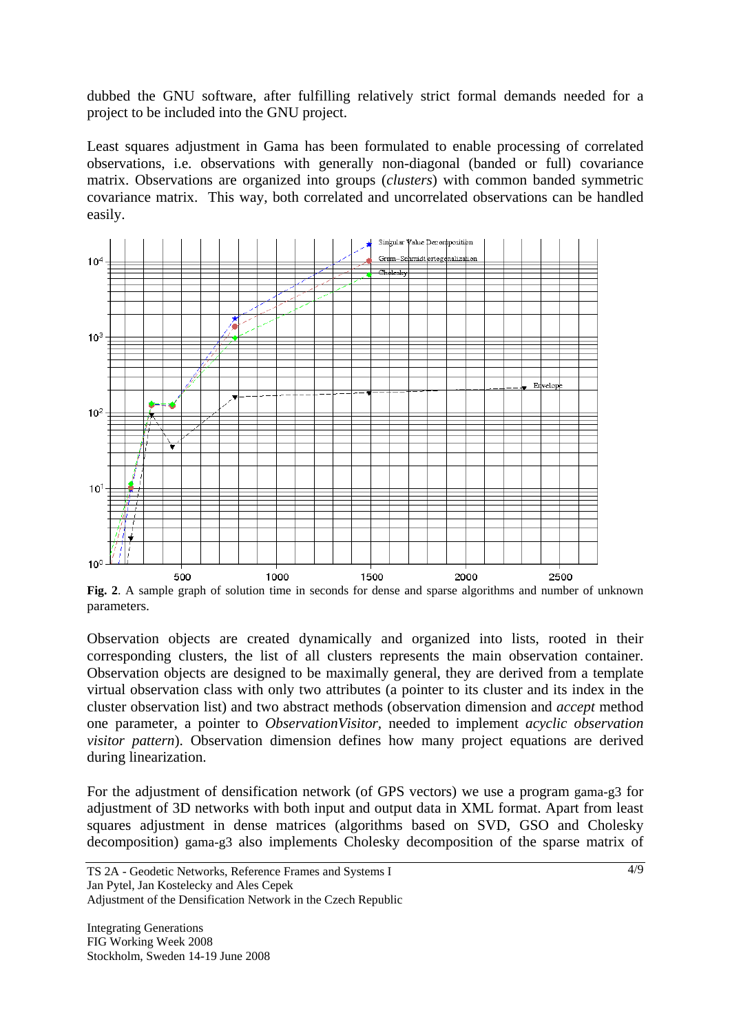dubbed the GNU software, after fulfilling relatively strict formal demands needed for a project to be included into the GNU project.

Least squares adjustment in Gama has been formulated to enable processing of correlated observations, i.e. observations with generally non-diagonal (banded or full) covariance matrix. Observations are organized into groups (*clusters*) with common banded symmetric covariance matrix. This way, both correlated and uncorrelated observations can be handled easily.



**Fig. 2**. A sample graph of solution time in seconds for dense and sparse algorithms and number of unknown parameters.

Observation objects are created dynamically and organized into lists, rooted in their corresponding clusters, the list of all clusters represents the main observation container. Observation objects are designed to be maximally general, they are derived from a template virtual observation class with only two attributes (a pointer to its cluster and its index in the cluster observation list) and two abstract methods (observation dimension and *accept* method one parameter, a pointer to *ObservationVisitor,* needed to implement *acyclic observation visitor pattern*). Observation dimension defines how many project equations are derived during linearization.

For the adjustment of densification network (of GPS vectors) we use a program gama-g3 for adjustment of 3D networks with both input and output data in XML format. Apart from least squares adjustment in dense matrices (algorithms based on SVD, GSO and Cholesky decomposition) gama-g3 also implements Cholesky decomposition of the sparse matrix of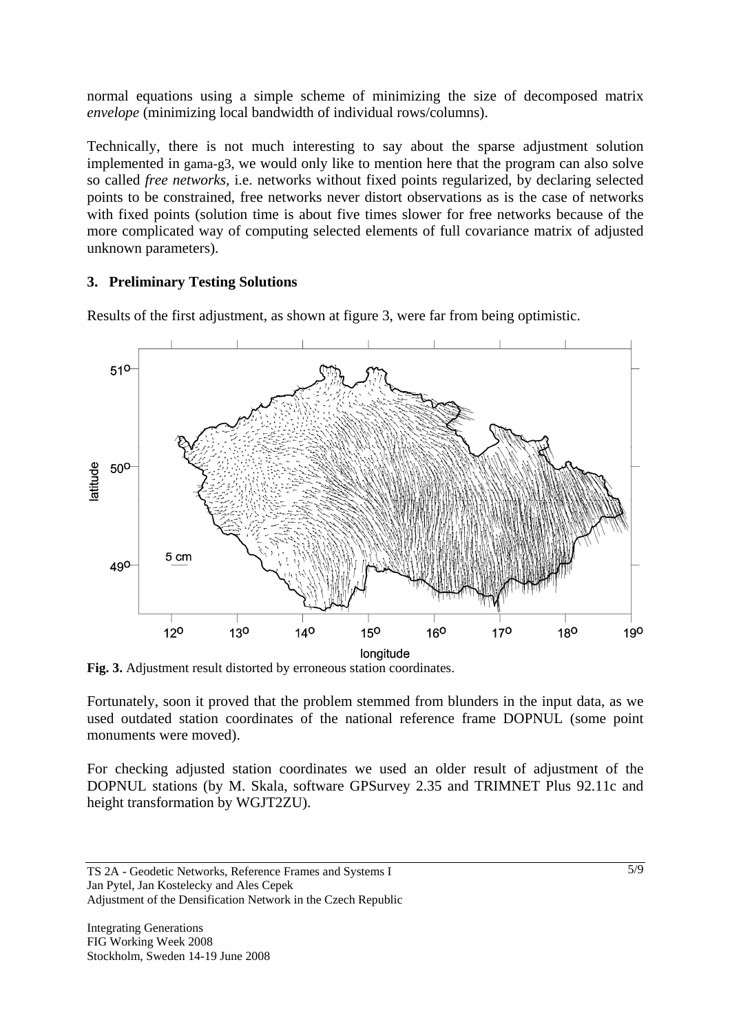normal equations using a simple scheme of minimizing the size of decomposed matrix *envelope* (minimizing local bandwidth of individual rows/columns).

Technically, there is not much interesting to say about the sparse adjustment solution implemented in gama-g3, we would only like to mention here that the program can also solve so called *free networks,* i.e. networks without fixed points regularized, by declaring selected points to be constrained, free networks never distort observations as is the case of networks with fixed points (solution time is about five times slower for free networks because of the more complicated way of computing selected elements of full covariance matrix of adjusted unknown parameters).

## **3. Preliminary Testing Solutions**

Results of the first adjustment, as shown at figure 3, were far from being optimistic.



**Fig. 3.** Adjustment result distorted by erroneous station coordinates.

Fortunately, soon it proved that the problem stemmed from blunders in the input data, as we used outdated station coordinates of the national reference frame DOPNUL (some point monuments were moved).

For checking adjusted station coordinates we used an older result of adjustment of the DOPNUL stations (by M. Skala, software GPSurvey 2.35 and TRIMNET Plus 92.11c and height transformation by WGJT2ZU).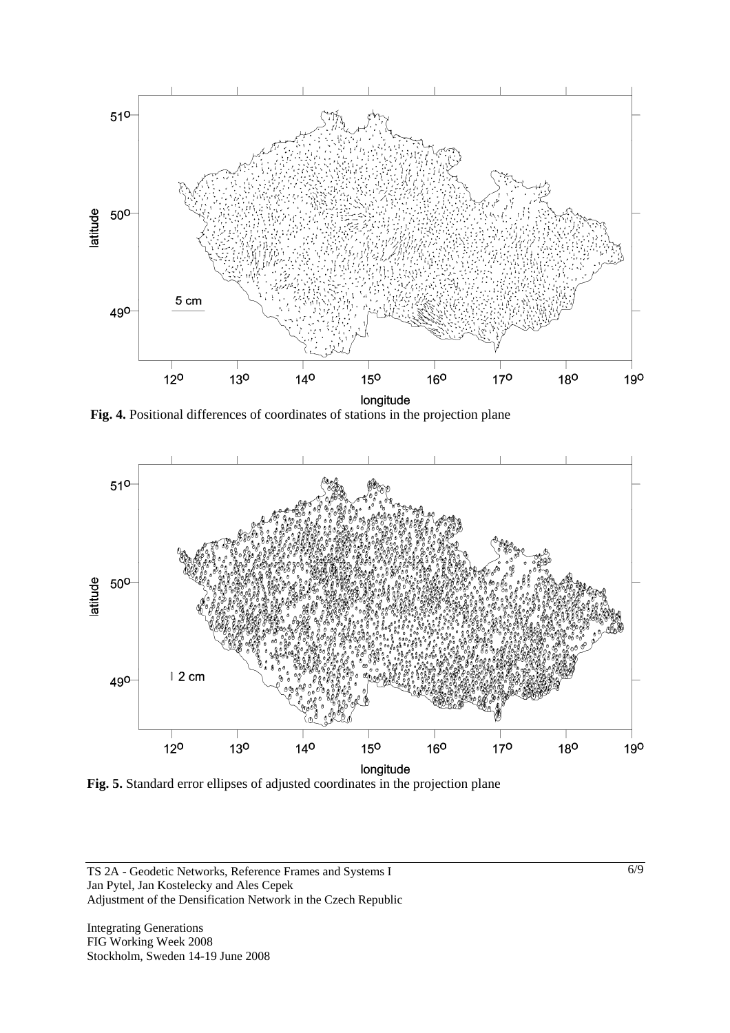

**Fig. 4.** Positional differences of coordinates of stations in the projection plane



**Fig. 5.** Standard error ellipses of adjusted coordinates in the projection plane

TS 2A - Geodetic Networks, Reference Frames and Systems I Jan Pytel, Jan Kostelecky and Ales Cepek Adjustment of the Densification Network in the Czech Republic

Integrating Generations FIG Working Week 2008 Stockholm, Sweden 14-19 June 2008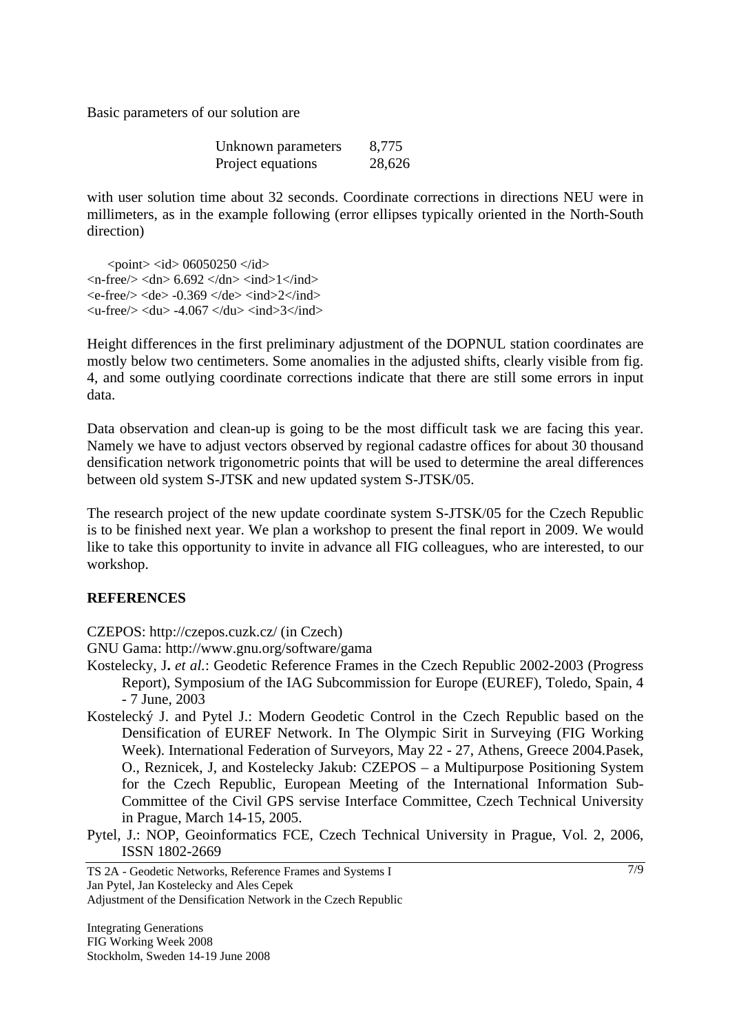Basic parameters of our solution are

| Unknown parameters | 8,775  |
|--------------------|--------|
| Project equations  | 28,626 |

with user solution time about 32 seconds. Coordinate corrections in directions NEU were in millimeters, as in the example following (error ellipses typically oriented in the North-South direction)

 $\text{} \text{}< id> 06050250 \text{ *} id>*$  $\langle n\text{-free}\rangle$   $\langle \text{dn}\rangle$  6.692  $\langle \text{dn}\rangle$   $\langle \text{ind}\rangle$  1 $\langle \text{ind}\rangle$  $\langle$ e-free $\rangle$  $\langle$ de $>$ -0.369 $\langle$ de $>$  $\langle$ ind $>$ 2 $\langle$ /ind $>$  $\langle u\text{-free}\rangle$   $\langle du\rangle$  -4.067  $\langle du\rangle$   $\langle ind\rangle$  3 $\langle ind\rangle$ 

Height differences in the first preliminary adjustment of the DOPNUL station coordinates are mostly below two centimeters. Some anomalies in the adjusted shifts, clearly visible from fig. 4, and some outlying coordinate corrections indicate that there are still some errors in input data.

Data observation and clean-up is going to be the most difficult task we are facing this year. Namely we have to adjust vectors observed by regional cadastre offices for about 30 thousand densification network trigonometric points that will be used to determine the areal differences between old system S-JTSK and new updated system S-JTSK/05.

The research project of the new update coordinate system S-JTSK/05 for the Czech Republic is to be finished next year. We plan a workshop to present the final report in 2009. We would like to take this opportunity to invite in advance all FIG colleagues, who are interested, to our workshop.

#### **REFERENCES**

CZEPOS: <http://czepos.cuzk.cz/>(in Czech)

GNU Gama: http://www.gnu.org/software/gama

- Kostelecky, J**.** *et al.*: Geodetic Reference Frames in the Czech Republic 2002-2003 (Progress Report), Symposium of the IAG Subcommission for Europe (EUREF), Toledo, Spain, 4 - 7 June, 2003
- Kostelecký J. and Pytel J.: Modern Geodetic Control in the Czech Republic based on the Densification of EUREF Network. In The Olympic Sirit in Surveying (FIG Working Week). International Federation of Surveyors, May 22 - 27, Athens, Greece 2004.Pasek, O., Reznicek, J, and Kostelecky Jakub: CZEPOS – a Multipurpose Positioning System for the Czech Republic, European Meeting of the International Information Sub-Committee of the Civil GPS servise Interface Committee, Czech Technical University in Prague, March 14-15, 2005.
- Pytel, J.: NOP, Geoinformatics FCE, Czech Technical University in Prague, Vol. 2, 2006, [ISSN](http://en.wikipedia.org/wiki/International_Standard_Serial_Number) [1802-2669](http://dispatch.opac.ddb.de/DB=1.1/LNG=EN/CMD?ACT=SRCHA&IKT=8&TRM=1802-2669)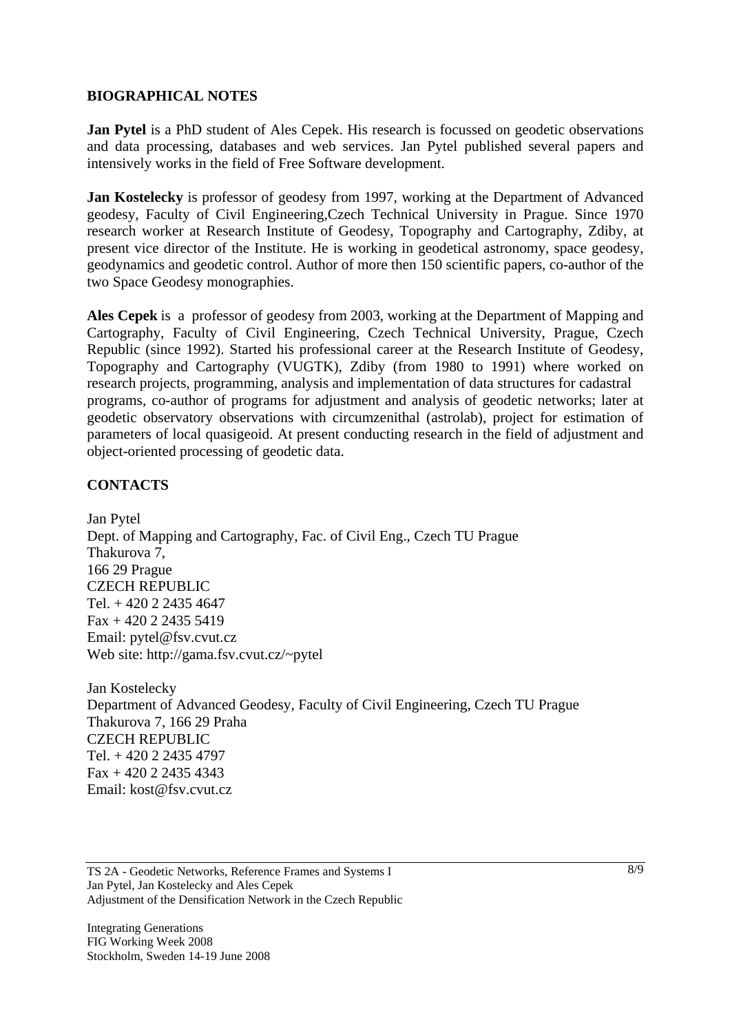#### **BIOGRAPHICAL NOTES**

**Jan Pytel** is a PhD student of Ales Cepek. His research is focussed on geodetic observations and data processing, databases and web services. Jan Pytel published several papers and intensively works in the field of Free Software development.

**Jan Kostelecky** is professor of geodesy from 1997, working at the Department of Advanced geodesy, Faculty of Civil Engineering,Czech Technical University in Prague. Since 1970 research worker at Research Institute of Geodesy, Topography and Cartography, Zdiby, at present vice director of the Institute. He is working in geodetical astronomy, space geodesy, geodynamics and geodetic control. Author of more then 150 scientific papers, co-author of the two Space Geodesy monographies.

**Ales Cepek** is a professor of geodesy from 2003, working at the Department of Mapping and Cartography, Faculty of Civil Engineering, Czech Technical University, Prague, Czech Republic (since 1992). Started his professional career at the Research Institute of Geodesy, Topography and Cartography (VUGTK), Zdiby (from 1980 to 1991) where worked on research projects, programming, analysis and implementation of data structures for cadastral programs, co-author of programs for adjustment and analysis of geodetic networks; later at geodetic observatory observations with circumzenithal (astrolab), project for estimation of parameters of local quasigeoid. At present conducting research in the field of adjustment and object-oriented processing of geodetic data.

### **CONTACTS**

Jan Pytel Dept. of Mapping and Cartography, Fac. of Civil Eng., Czech TU Prague Thakurova 7, 166 29 Prague CZECH REPUBLIC Tel. + 420 2 2435 4647 Fax + 420 2 2435 5419 Email: pytel@fsv.cvut.cz Web site: http://gama.fsv.cvut.cz/~pytel

Jan Kostelecky Department of Advanced Geodesy, Faculty of Civil Engineering, Czech TU Prague Thakurova 7, 166 29 Praha CZECH REPUBLIC Tel. + 420 2 2435 4797 Fax + 420 2 2435 4343 Email: kost@fsv.cvut.cz

TS 2A - Geodetic Networks, Reference Frames and Systems I Jan Pytel, Jan Kostelecky and Ales Cepek Adjustment of the Densification Network in the Czech Republic

Integrating Generations FIG Working Week 2008 Stockholm, Sweden 14-19 June 2008